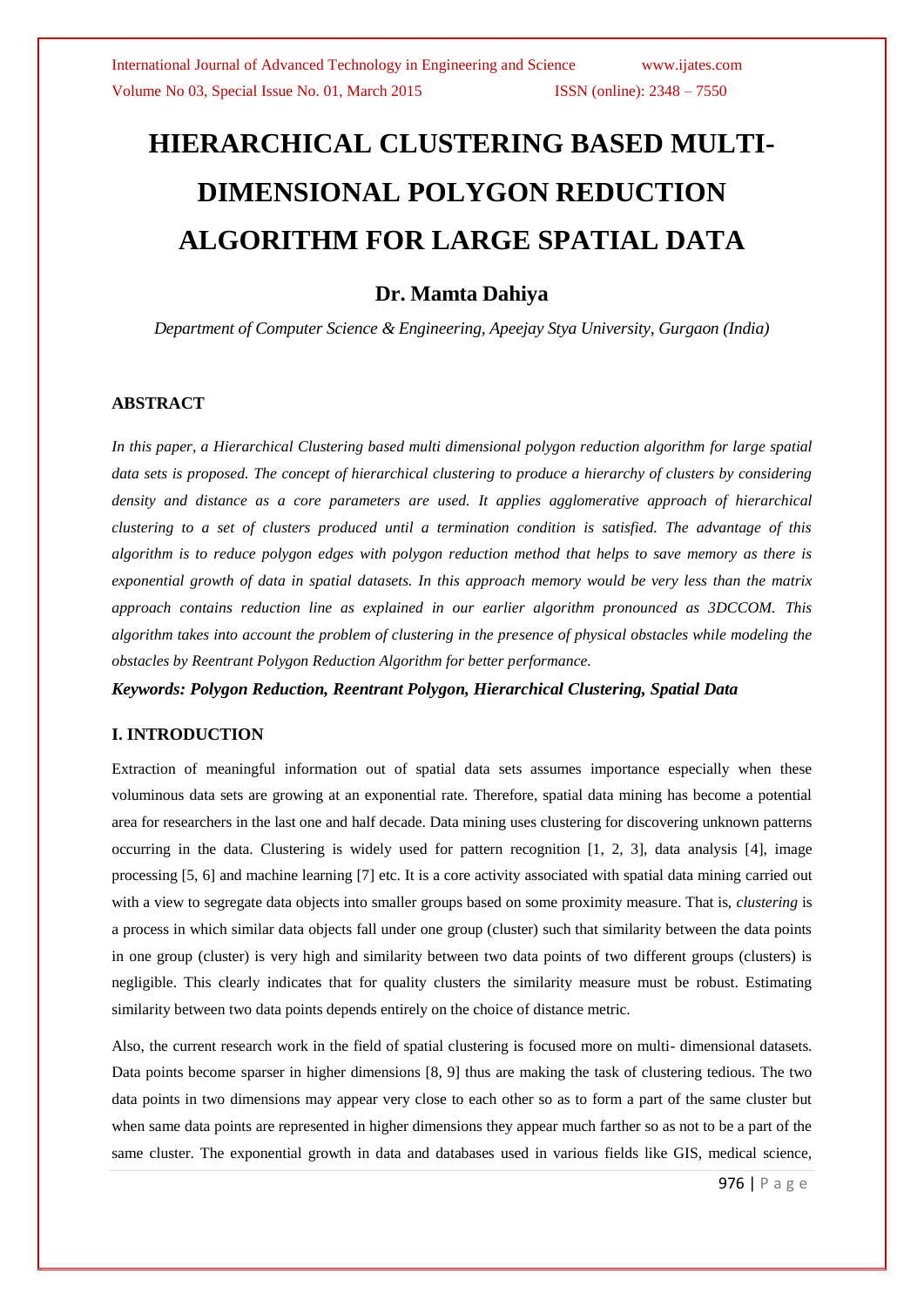# **HIERARCHICAL CLUSTERING BASED MULTI-DIMENSIONAL POLYGON REDUCTION ALGORITHM FOR LARGE SPATIAL DATA**

## **Dr. Mamta Dahiya**

*Department of Computer Science & Engineering, Apeejay Stya University, Gurgaon (India)*

## **ABSTRACT**

*In this paper, a Hierarchical Clustering based multi dimensional polygon reduction algorithm for large spatial data sets is proposed. The concept of hierarchical clustering to produce a hierarchy of clusters by considering density and distance as a core parameters are used. It applies agglomerative approach of hierarchical clustering to a set of clusters produced until a termination condition is satisfied. The advantage of this algorithm is to reduce polygon edges with polygon reduction method that helps to save memory as there is exponential growth of data in spatial datasets. In this approach memory would be very less than the matrix approach contains reduction line as explained in our earlier algorithm pronounced as 3DCCOM. This algorithm takes into account the problem of clustering in the presence of physical obstacles while modeling the obstacles by Reentrant Polygon Reduction Algorithm for better performance.*

*Keywords: Polygon Reduction, Reentrant Polygon, Hierarchical Clustering, Spatial Data*

## **I. INTRODUCTION**

Extraction of meaningful information out of spatial data sets assumes importance especially when these voluminous data sets are growing at an exponential rate. Therefore, spatial data mining has become a potential area for researchers in the last one and half decade. Data mining uses clustering for discovering unknown patterns occurring in the data. Clustering is widely used for pattern recognition [1, 2, 3], data analysis [4], image processing [5, 6] and machine learning [7] etc. It is a core activity associated with spatial data mining carried out with a view to segregate data objects into smaller groups based on some proximity measure. That is, *clustering* is a process in which similar data objects fall under one group (cluster) such that similarity between the data points in one group (cluster) is very high and similarity between two data points of two different groups (clusters) is negligible. This clearly indicates that for quality clusters the similarity measure must be robust. Estimating similarity between two data points depends entirely on the choice of distance metric.

Also, the current research work in the field of spatial clustering is focused more on multi- dimensional datasets. Data points become sparser in higher dimensions [8, 9] thus are making the task of clustering tedious. The two data points in two dimensions may appear very close to each other so as to form a part of the same cluster but when same data points are represented in higher dimensions they appear much farther so as not to be a part of the same cluster. The exponential growth in data and databases used in various fields like GIS, medical science,

976 | P a g e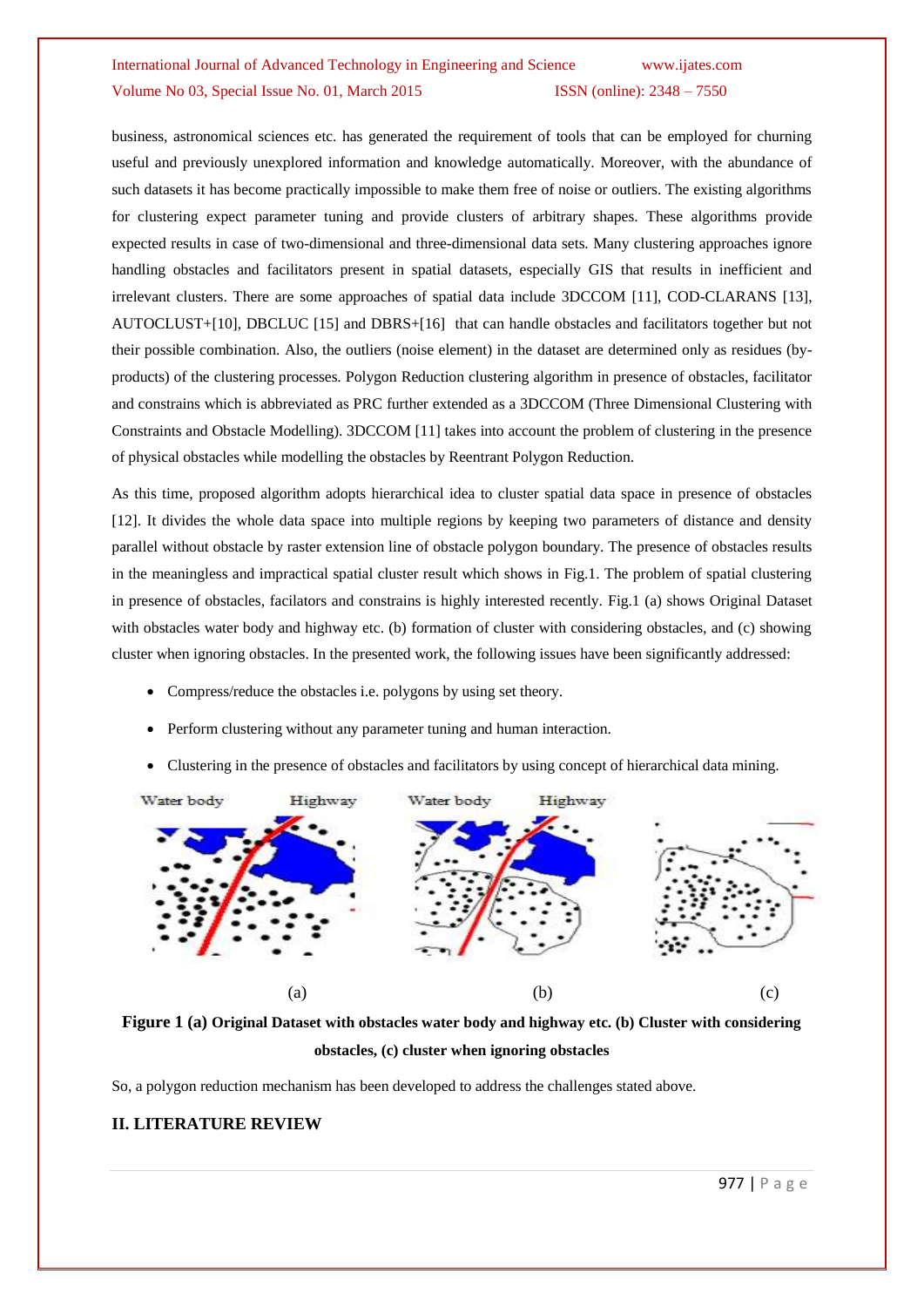business, astronomical sciences etc. has generated the requirement of tools that can be employed for churning useful and previously unexplored information and knowledge automatically. Moreover, with the abundance of such datasets it has become practically impossible to make them free of noise or outliers. The existing algorithms for clustering expect parameter tuning and provide clusters of arbitrary shapes. These algorithms provide expected results in case of two-dimensional and three-dimensional data sets. Many clustering approaches ignore handling obstacles and facilitators present in spatial datasets, especially GIS that results in inefficient and irrelevant clusters. There are some approaches of spatial data include 3DCCOM [11], COD-CLARANS [13], AUTOCLUST+[10], DBCLUC [15] and DBRS+[16] that can handle obstacles and facilitators together but not their possible combination. Also, the outliers (noise element) in the dataset are determined only as residues (byproducts) of the clustering processes. Polygon Reduction clustering algorithm in presence of obstacles, facilitator and constrains which is abbreviated as PRC further extended as a 3DCCOM (Three Dimensional Clustering with Constraints and Obstacle Modelling). 3DCCOM [11] takes into account the problem of clustering in the presence of physical obstacles while modelling the obstacles by Reentrant Polygon Reduction.

As this time, proposed algorithm adopts hierarchical idea to cluster spatial data space in presence of obstacles [12]. It divides the whole data space into multiple regions by keeping two parameters of distance and density parallel without obstacle by raster extension line of obstacle polygon boundary. The presence of obstacles results in the meaningless and impractical spatial cluster result which shows in Fig.1. The problem of spatial clustering in presence of obstacles, facilators and constrains is highly interested recently. Fig.1 (a) shows Original Dataset with obstacles water body and highway etc. (b) formation of cluster with considering obstacles, and (c) showing cluster when ignoring obstacles. In the presented work, the following issues have been significantly addressed:

- Compress/reduce the obstacles i.e. polygons by using set theory.
- Perform clustering without any parameter tuning and human interaction.
- Clustering in the presence of obstacles and facilitators by using concept of hierarchical data mining.





So, a polygon reduction mechanism has been developed to address the challenges stated above.

#### **II. LITERATURE REVIEW**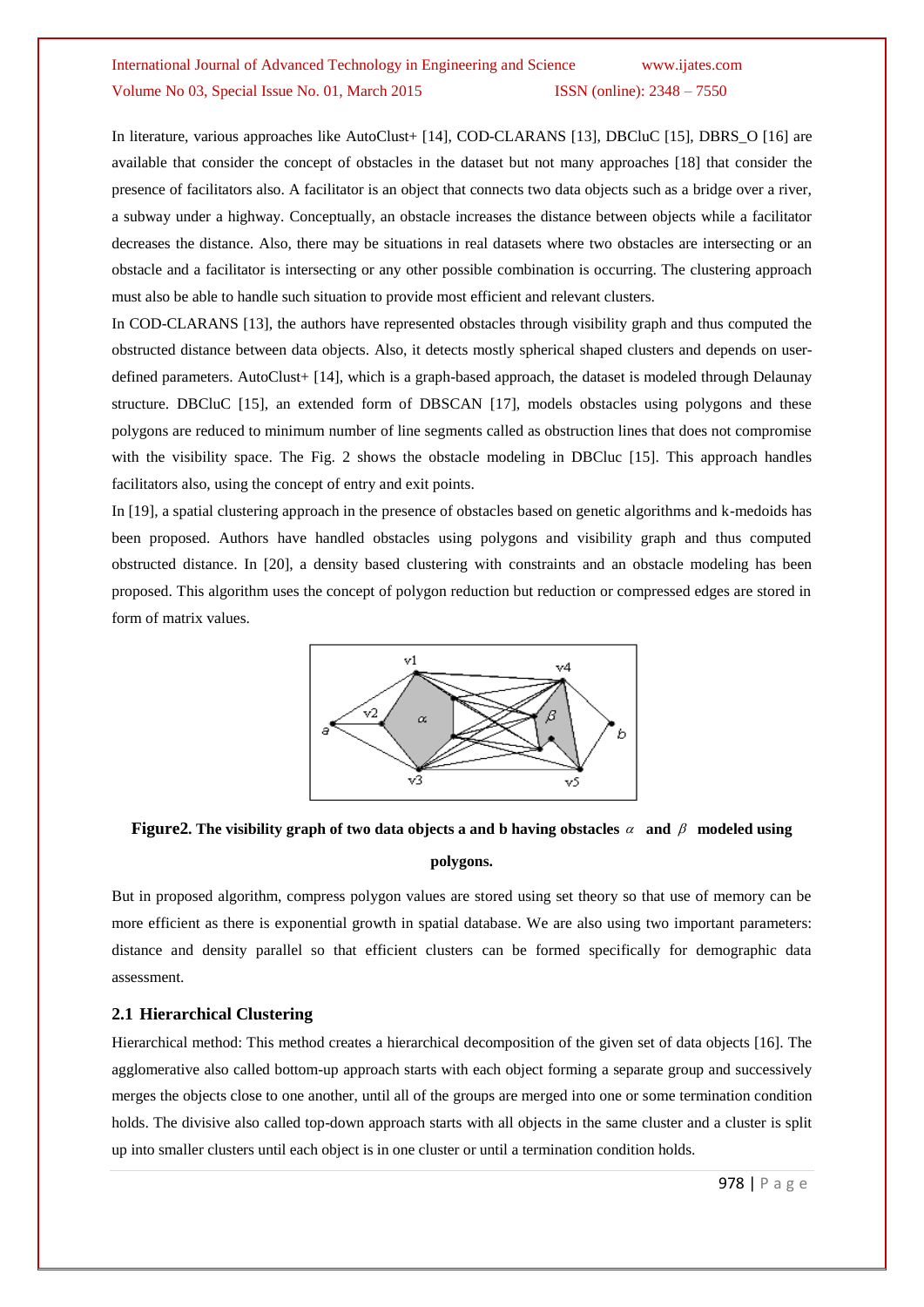In literature, various approaches like AutoClust+ [14], COD-CLARANS [13], DBCluC [15], DBRS O [16] are available that consider the concept of obstacles in the dataset but not many approaches [18] that consider the presence of facilitators also. A facilitator is an object that connects two data objects such as a bridge over a river, a subway under a highway. Conceptually, an obstacle increases the distance between objects while a facilitator decreases the distance. Also, there may be situations in real datasets where two obstacles are intersecting or an obstacle and a facilitator is intersecting or any other possible combination is occurring. The clustering approach must also be able to handle such situation to provide most efficient and relevant clusters.

In COD-CLARANS [13], the authors have represented obstacles through visibility graph and thus computed the obstructed distance between data objects. Also, it detects mostly spherical shaped clusters and depends on userdefined parameters. AutoClust+ [14], which is a graph-based approach, the dataset is modeled through Delaunay structure. DBCluC [15], an extended form of DBSCAN [17], models obstacles using polygons and these polygons are reduced to minimum number of line segments called as obstruction lines that does not compromise with the visibility space. The Fig. 2 shows the obstacle modeling in DBCluc [15]. This approach handles facilitators also, using the concept of entry and exit points.

In [19], a spatial clustering approach in the presence of obstacles based on genetic algorithms and k-medoids has been proposed. Authors have handled obstacles using polygons and visibility graph and thus computed obstructed distance. In [20], a density based clustering with constraints and an obstacle modeling has been proposed. This algorithm uses the concept of polygon reduction but reduction or compressed edges are stored in form of matrix values.



# **Figure2.** The visibility graph of two data objects a and b having obstacles  $\alpha$  and  $\beta$  modeled using **polygons.**

But in proposed algorithm, compress polygon values are stored using set theory so that use of memory can be more efficient as there is exponential growth in spatial database. We are also using two important parameters: distance and density parallel so that efficient clusters can be formed specifically for demographic data assessment.

#### **2.1 Hierarchical Clustering**

Hierarchical method: This method creates a hierarchical decomposition of the given set of data objects [16]. The agglomerative also called bottom-up approach starts with each object forming a separate group and successively merges the objects close to one another, until all of the groups are merged into one or some termination condition holds. The divisive also called top-down approach starts with all objects in the same cluster and a cluster is split up into smaller clusters until each object is in one cluster or until a termination condition holds.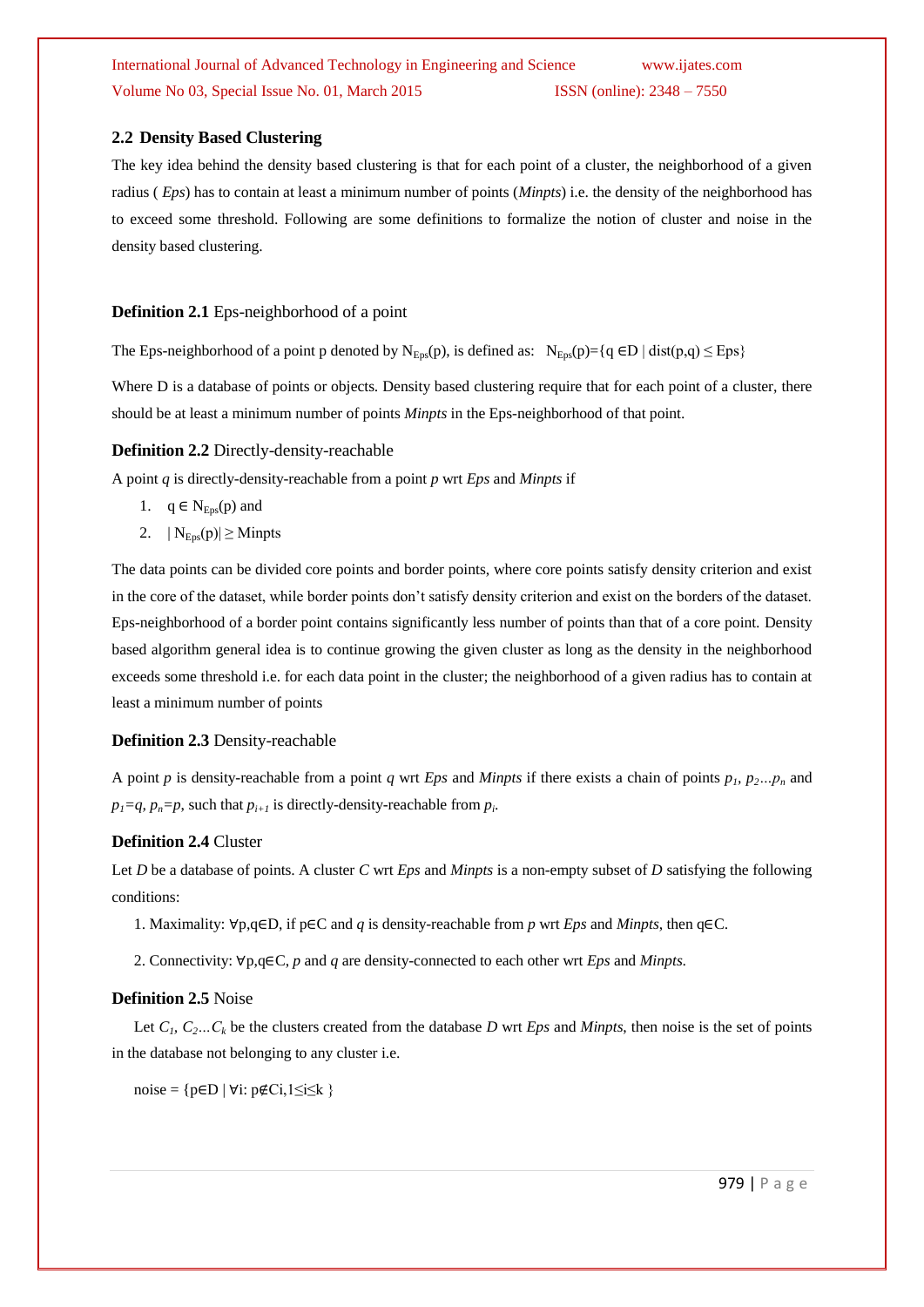## **2.2 Density Based Clustering**

The key idea behind the density based clustering is that for each point of a cluster, the neighborhood of a given radius ( *Eps*) has to contain at least a minimum number of points (*Minpts*) i.e. the density of the neighborhood has to exceed some threshold. Following are some definitions to formalize the notion of cluster and noise in the density based clustering.

#### **Definition 2.1** Eps-neighborhood of a point

The Eps-neighborhood of a point p denoted by  $N_{Eps}(p)$ , is defined as:  $N_{Eps}(p) = \{q \in D \mid dist(p,q) \leq Eps\}$ 

Where D is a database of points or objects. Density based clustering require that for each point of a cluster, there should be at least a minimum number of points *Minpts* in the Eps-neighborhood of that point.

#### **Definition 2.2** Directly-density-reachable

A point *q* is directly-density-reachable from a point *p* wrt *Eps* and *Minpts* if

- 1.  $q \in N_{Eps}(p)$  and
- 2.  $|N_{Eps}(p)| \geq M$ inpts

The data points can be divided core points and border points, where core points satisfy density criterion and exist in the core of the dataset, while border points don"t satisfy density criterion and exist on the borders of the dataset. Eps-neighborhood of a border point contains significantly less number of points than that of a core point. Density based algorithm general idea is to continue growing the given cluster as long as the density in the neighborhood exceeds some threshold i.e. for each data point in the cluster; the neighborhood of a given radius has to contain at least a minimum number of points

#### **Definition 2.3** Density-reachable

A point *p* is density-reachable from a point *q* wrt *Eps* and *Minpts* if there exists a chain of points  $p_1$ ,  $p_2...p_n$  and  $p_1 = q$ ,  $p_n = p$ , such that  $p_{i+1}$  is directly-density-reachable from  $p_i$ .

#### **Definition 2.4** Cluster

Let *D* be a database of points. A cluster *C* wrt *Eps* and *Minpts* is a non-empty subset of *D* satisfying the following conditions:

1. Maximality: ∀p,q∈D, if p∈C and *q* is density-reachable from *p* wrt *Eps* and *Minpts*, then q∈C.

2. Connectivity: ∀p,q∈C, *p* and *q* are density-connected to each other wrt *Eps* and *Minpts*.

#### **Definition 2.5** Noise

Let  $C_i$ ,  $C_2...C_k$  be the clusters created from the database *D* wrt *Eps* and *Minpts*, then noise is the set of points in the database not belonging to any cluster i.e.

noise =  $\{p \in D \mid \forall i: p \notin Ci, 1 \leq i \leq k\}$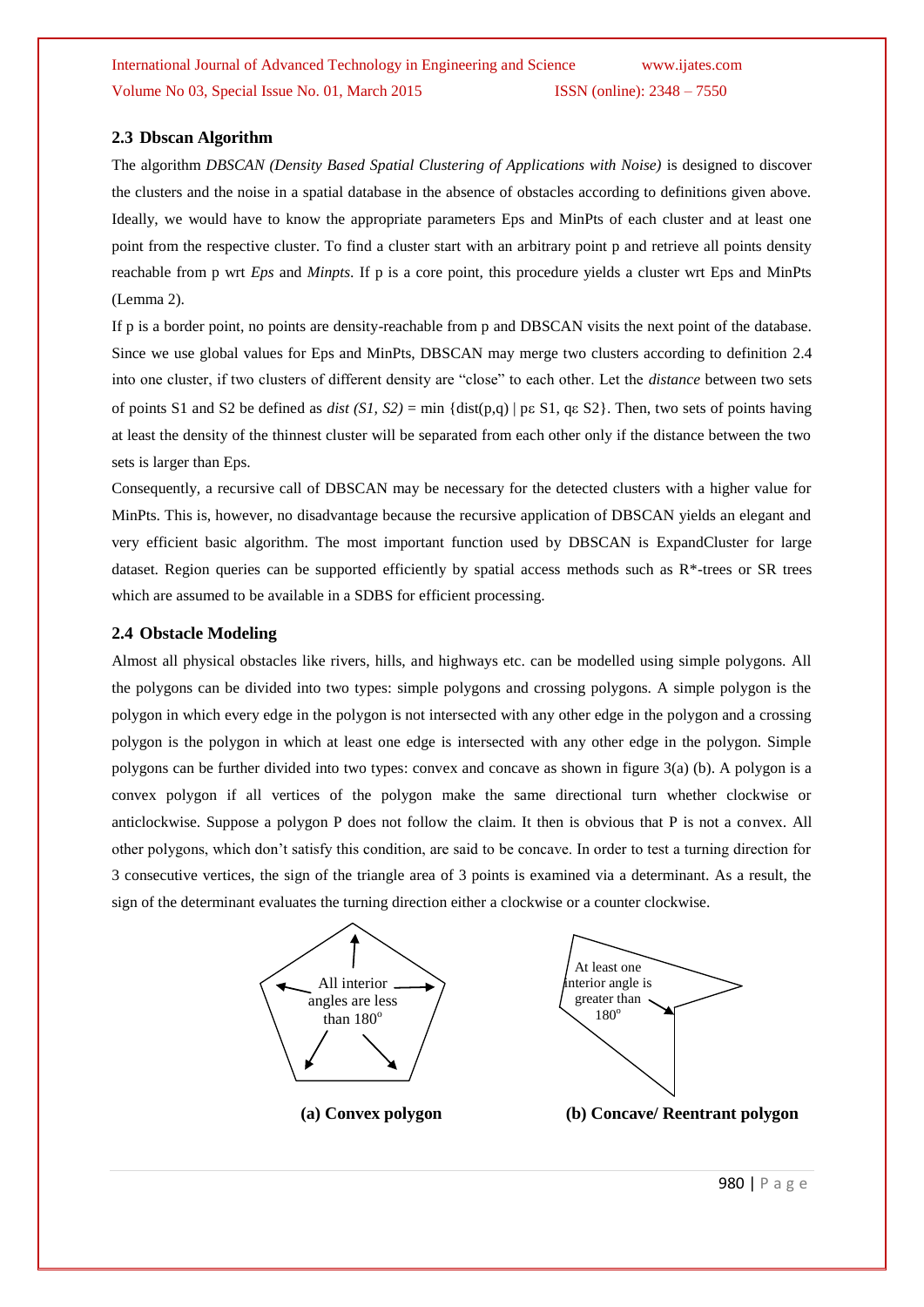### **2.3 Dbscan Algorithm**

The algorithm *DBSCAN (Density Based Spatial Clustering of Applications with Noise)* is designed to discover the clusters and the noise in a spatial database in the absence of obstacles according to definitions given above. Ideally, we would have to know the appropriate parameters Eps and MinPts of each cluster and at least one point from the respective cluster. To find a cluster start with an arbitrary point p and retrieve all points density reachable from p wrt *Eps* and *Minpts*. If p is a core point, this procedure yields a cluster wrt Eps and MinPts (Lemma 2).

If p is a border point, no points are density-reachable from p and DBSCAN visits the next point of the database. Since we use global values for Eps and MinPts, DBSCAN may merge two clusters according to definition 2.4 into one cluster, if two clusters of different density are "close" to each other. Let the *distance* between two sets of points S1 and S2 be defined as *dist*  $(SI, S2) = \min \{dist(p,q) | pe S1, q \in S2\}$ . Then, two sets of points having at least the density of the thinnest cluster will be separated from each other only if the distance between the two sets is larger than Eps.

Consequently, a recursive call of DBSCAN may be necessary for the detected clusters with a higher value for MinPts. This is, however, no disadvantage because the recursive application of DBSCAN yields an elegant and very efficient basic algorithm. The most important function used by DBSCAN is ExpandCluster for large dataset. Region queries can be supported efficiently by spatial access methods such as R\*-trees or SR trees which are assumed to be available in a SDBS for efficient processing.

#### **2.4 Obstacle Modeling**

Almost all physical obstacles like rivers, hills, and highways etc. can be modelled using simple polygons. All the polygons can be divided into two types: simple polygons and crossing polygons. A simple polygon is the polygon in which every edge in the polygon is not intersected with any other edge in the polygon and a crossing polygon is the polygon in which at least one edge is intersected with any other edge in the polygon. Simple polygons can be further divided into two types: convex and concave as shown in figure 3(a) (b). A polygon is a convex polygon if all vertices of the polygon make the same directional turn whether clockwise or anticlockwise. Suppose a polygon P does not follow the claim. It then is obvious that P is not a convex. All other polygons, which don"t satisfy this condition, are said to be concave. In order to test a turning direction for 3 consecutive vertices, the sign of the triangle area of 3 points is examined via a determinant. As a result, the sign of the determinant evaluates the turning direction either a clockwise or a counter clockwise.



980 | P a g e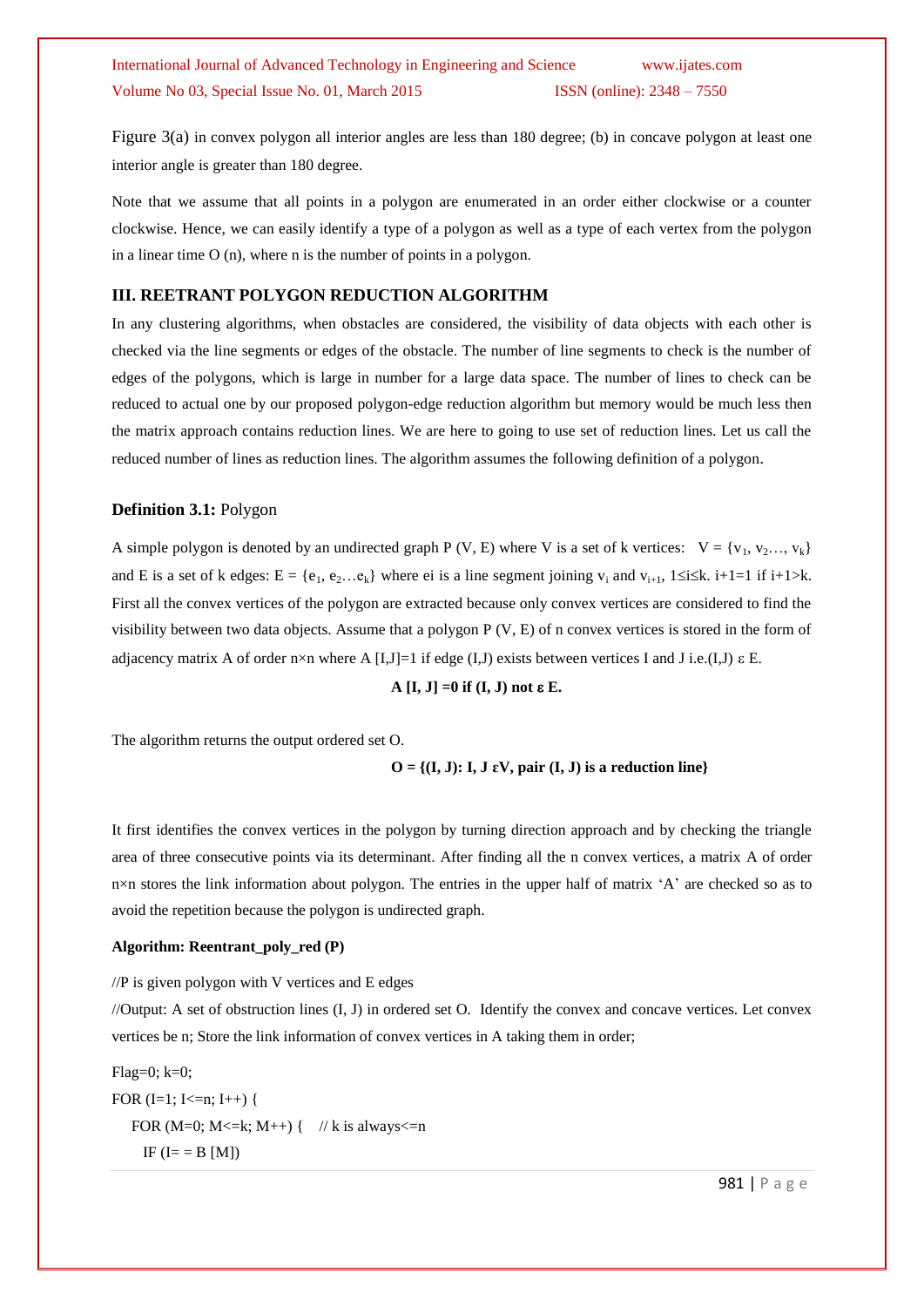Figure 3(a) in convex polygon all interior angles are less than 180 degree; (b) in concave polygon at least one interior angle is greater than 180 degree.

Note that we assume that all points in a polygon are enumerated in an order either clockwise or a counter clockwise. Hence, we can easily identify a type of a polygon as well as a type of each vertex from the polygon in a linear time O (n), where n is the number of points in a polygon.

#### **III. REETRANT POLYGON REDUCTION ALGORITHM**

In any clustering algorithms, when obstacles are considered, the visibility of data objects with each other is checked via the line segments or edges of the obstacle. The number of line segments to check is the number of edges of the polygons, which is large in number for a large data space. The number of lines to check can be reduced to actual one by our proposed polygon-edge reduction algorithm but memory would be much less then the matrix approach contains reduction lines. We are here to going to use set of reduction lines. Let us call the reduced number of lines as reduction lines. The algorithm assumes the following definition of a polygon.

#### **Definition 3.1:** Polygon

A simple polygon is denoted by an undirected graph P (V, E) where V is a set of k vertices:  $V = \{v_1, v_2, ..., v_k\}$ and E is a set of k edges:  $E = \{e_1, e_2, \ldots e_k\}$  where ei is a line segment joining  $v_i$  and  $v_{i+1}$ ,  $1 \le i \le k$ .  $i+1=1$  if  $i+1 \ge k$ . First all the convex vertices of the polygon are extracted because only convex vertices are considered to find the visibility between two data objects. Assume that a polygon P (V, E) of n convex vertices is stored in the form of adjacency matrix A of order n×n where A [I,J]=1 if edge (I,J) exists between vertices I and J i.e.(I,J)  $\varepsilon$  E.

 $A [I, J] = 0$  if  $(I, J)$  not  $\varepsilon E$ .

The algorithm returns the output ordered set O.

 $O = \{(I, J): I, J \in V, pair (I, J) \text{ is a reduction line}\}$ 

It first identifies the convex vertices in the polygon by turning direction approach and by checking the triangle area of three consecutive points via its determinant. After finding all the n convex vertices, a matrix A of order n×n stores the link information about polygon. The entries in the upper half of matrix 'A' are checked so as to avoid the repetition because the polygon is undirected graph.

#### **Algorithm: Reentrant\_poly\_red (P)**

//P is given polygon with V vertices and E edges

//Output: A set of obstruction lines (I, J) in ordered set O. Identify the convex and concave vertices. Let convex vertices be n; Store the link information of convex vertices in A taking them in order;

Flag=0; k=0; FOR  $(I=1; I<=n; I++)$  { FOR (M=0; M<=k; M++) { // k is always<=n IF  $(I = B [M])$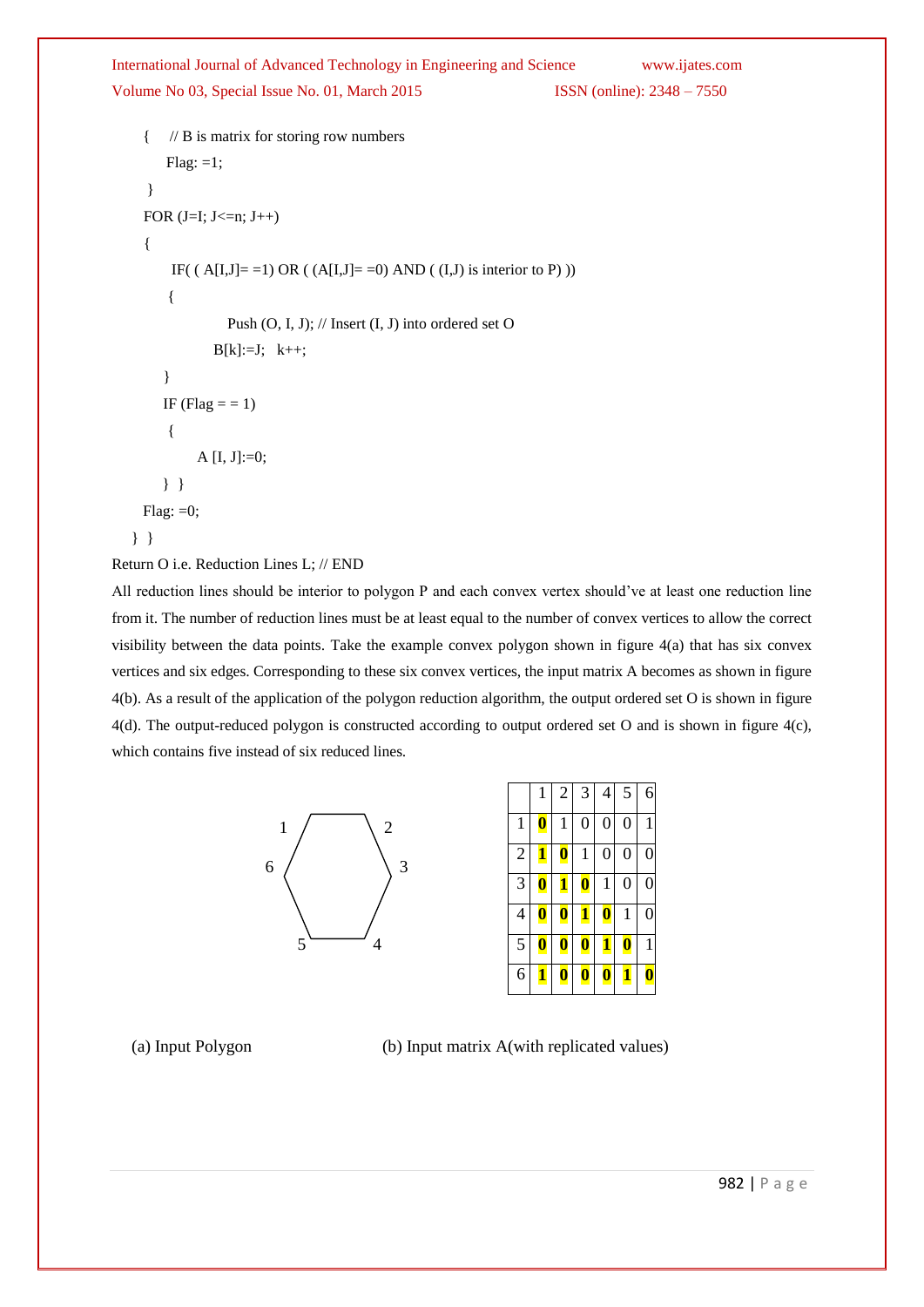International Journal of Advanced Technology in Engineering and Science www.ijates.com

Volume No 03, Special Issue No. 01, March 2015 ISSN (online): 2348 – 7550

```
 { // B is matrix for storing row numbers
     Flag: =1; }
 FOR (J=I; J<=n; J++){
      IF( (A[I,J]=1) OR (A[I,J]=0) AND ((I,J) is interior to P) ))
     { 
                Push (O, I, J); // Insert (I, J) into ordered set O
             B[k]:=J; k++; }
    IF (Flag = = 1)
     {
          A [I, J]:=0; } } 
 Flag: =0;
 } }
```

```
Return O i.e. Reduction Lines L; // END
```
All reduction lines should be interior to polygon P and each convex vertex should've at least one reduction line from it. The number of reduction lines must be at least equal to the number of convex vertices to allow the correct visibility between the data points. Take the example convex polygon shown in figure 4(a) that has six convex vertices and six edges. Corresponding to these six convex vertices, the input matrix A becomes as shown in figure 4(b). As a result of the application of the polygon reduction algorithm, the output ordered set O is shown in figure 4(d). The output-reduced polygon is constructed according to output ordered set O and is shown in figure 4(c), which contains five instead of six reduced lines.



|                | $\mathbf{1}$     | $\overline{2}$   | 3                | $\overline{4}$   | 5                | 6              |
|----------------|------------------|------------------|------------------|------------------|------------------|----------------|
| $\mathbf{1}$   | $\boldsymbol{0}$ | $\mathbf{1}$     | $\overline{0}$   | $\overline{0}$   | $\overline{0}$   | 1              |
| $\overline{c}$ | <u>1</u>         | $\boldsymbol{0}$ | $\mathbf{1}$     | $\boldsymbol{0}$ | $\boldsymbol{0}$ | $\overline{0}$ |
| $\overline{3}$ | $\boldsymbol{0}$ | 1                | $\boldsymbol{0}$ | $\mathbf{1}$     | $\boldsymbol{0}$ | $\overline{0}$ |
| $\overline{4}$ | $\boldsymbol{0}$ | $\boldsymbol{0}$ | $\mathbf{1}$     | $\boldsymbol{0}$ | $\mathbf{1}$     | $\overline{0}$ |
| 5              | Ø                | $\boldsymbol{0}$ | $\boldsymbol{0}$ | 1                | $\boldsymbol{0}$ | 1              |
| 6              | 1                | $\pmb{0}$        | $\boldsymbol{0}$ | $\boldsymbol{0}$ | <u>1</u>         | 0              |

(a) Input Polygon (b) Input matrix A(with replicated values)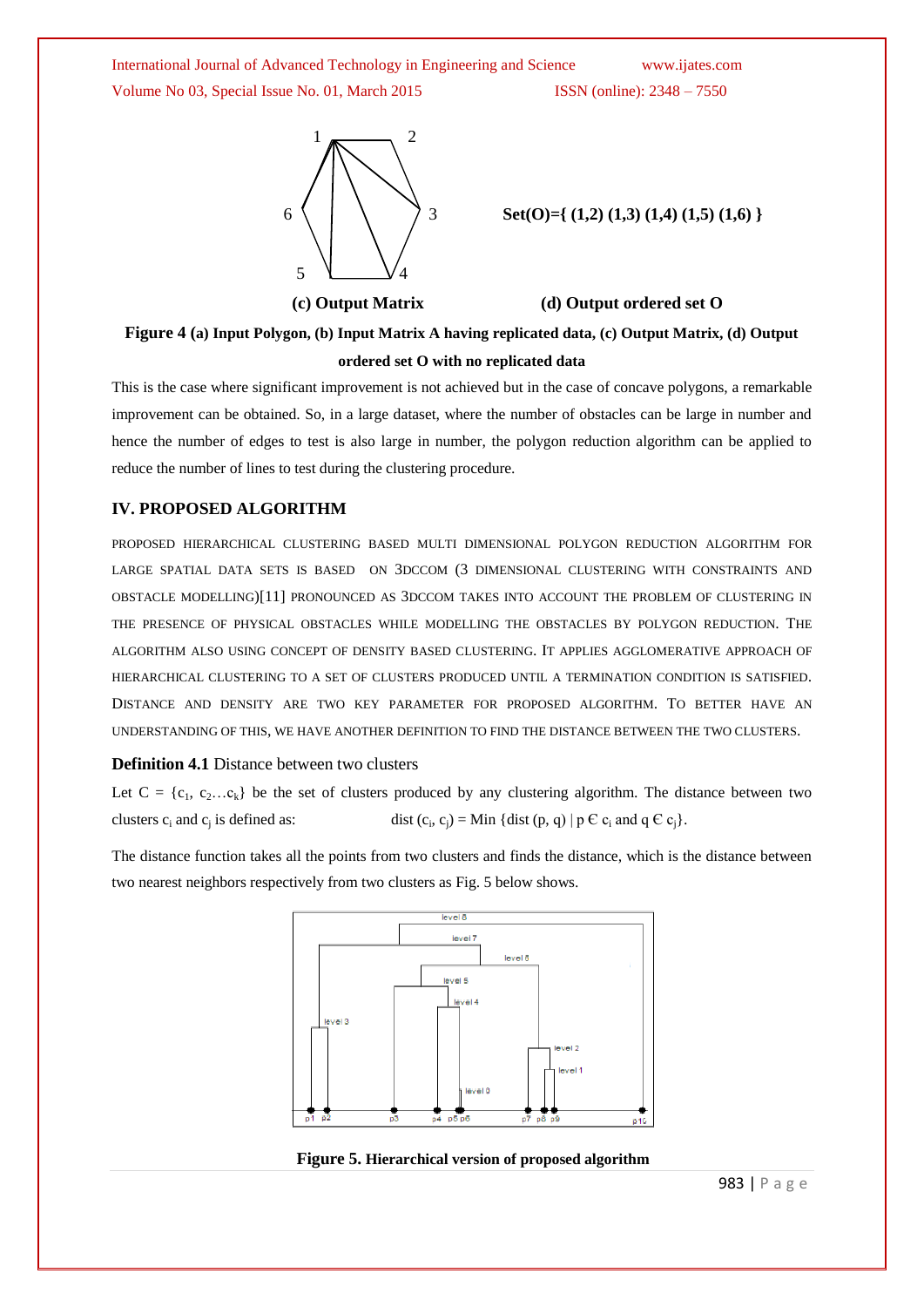

6 3 **Set(O)={ (1,2) (1,3) (1,4) (1,5) (1,6) }**

#### **(c) Output Matrix (d) Output ordered set O**

**Figure 4 (a) Input Polygon, (b) Input Matrix A having replicated data, (c) Output Matrix, (d) Output ordered set O with no replicated data**

This is the case where significant improvement is not achieved but in the case of concave polygons, a remarkable improvement can be obtained. So, in a large dataset, where the number of obstacles can be large in number and hence the number of edges to test is also large in number, the polygon reduction algorithm can be applied to reduce the number of lines to test during the clustering procedure.

#### **IV. PROPOSED ALGORITHM**

PROPOSED HIERARCHICAL CLUSTERING BASED MULTI DIMENSIONAL POLYGON REDUCTION ALGORITHM FOR LARGE SPATIAL DATA SETS IS BASED ON 3DCCOM (3 DIMENSIONAL CLUSTERING WITH CONSTRAINTS AND OBSTACLE MODELLING)[11] PRONOUNCED AS 3DCCOM TAKES INTO ACCOUNT THE PROBLEM OF CLUSTERING IN THE PRESENCE OF PHYSICAL OBSTACLES WHILE MODELLING THE OBSTACLES BY POLYGON REDUCTION. THE ALGORITHM ALSO USING CONCEPT OF DENSITY BASED CLUSTERING. IT APPLIES AGGLOMERATIVE APPROACH OF HIERARCHICAL CLUSTERING TO A SET OF CLUSTERS PRODUCED UNTIL A TERMINATION CONDITION IS SATISFIED. DISTANCE AND DENSITY ARE TWO KEY PARAMETER FOR PROPOSED ALGORITHM. TO BETTER HAVE AN UNDERSTANDING OF THIS, WE HAVE ANOTHER DEFINITION TO FIND THE DISTANCE BETWEEN THE TWO CLUSTERS.

#### **Definition 4.1** Distance between two clusters

Let  $C = \{c_1, c_2...c_k\}$  be the set of clusters produced by any clustering algorithm. The distance between two clusters  $c_i$  and  $c_j$  is defined as: dist ( $c_i$ dist  $(c_i, c_j) = Min$  {dist  $(p, q) | p \in c_i$  and  $q \in c_j$ }.

The distance function takes all the points from two clusters and finds the distance, which is the distance between two nearest neighbors respectively from two clusters as Fig. 5 below shows.



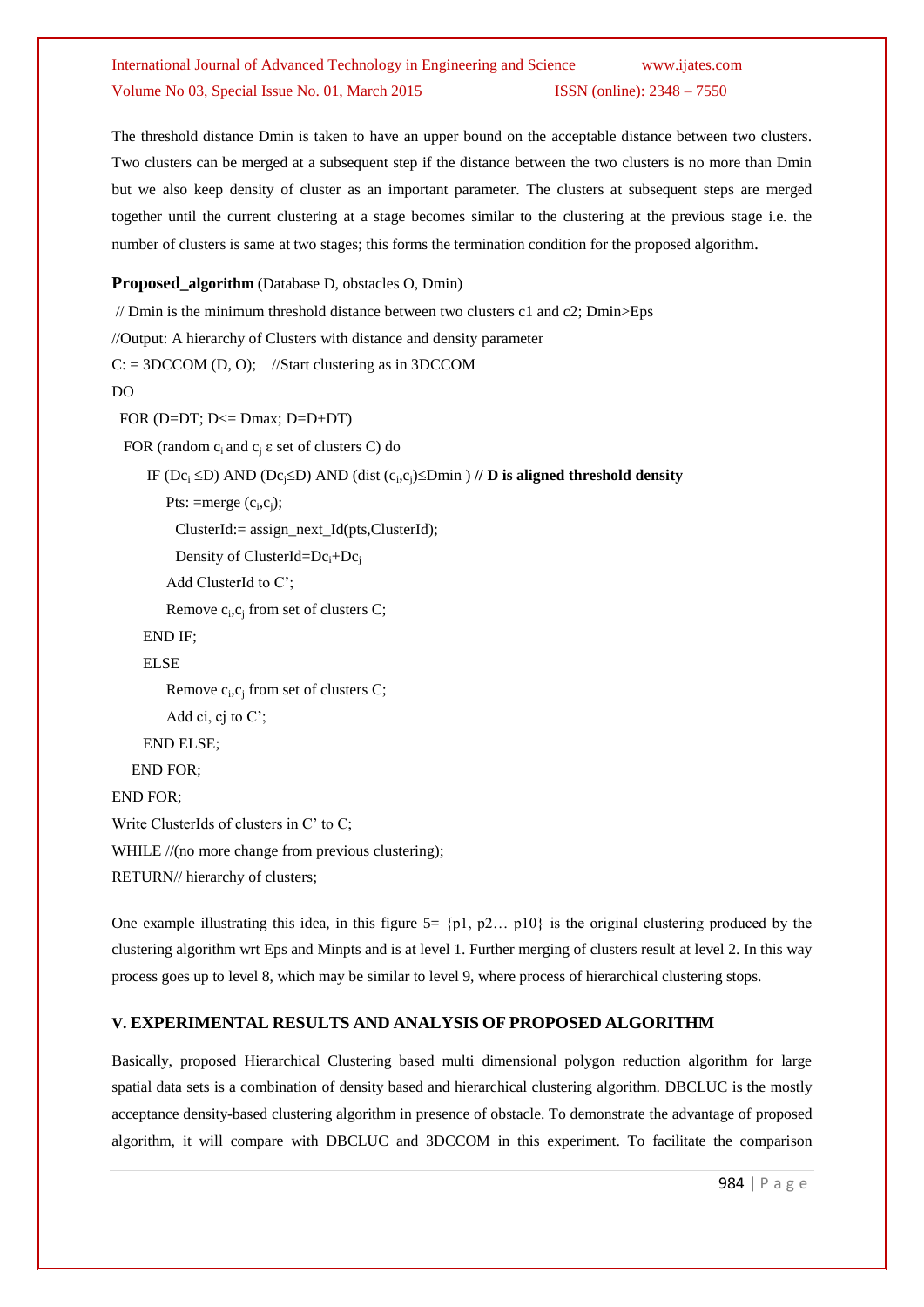The threshold distance Dmin is taken to have an upper bound on the acceptable distance between two clusters. Two clusters can be merged at a subsequent step if the distance between the two clusters is no more than Dmin but we also keep density of cluster as an important parameter. The clusters at subsequent steps are merged together until the current clustering at a stage becomes similar to the clustering at the previous stage i.e. the number of clusters is same at two stages; this forms the termination condition for the proposed algorithm.

## **Proposed\_algorithm** (Database D, obstacles O, Dmin)

```
\frac{1}{2} Dmin is the minimum threshold distance between two clusters c1 and c2; Dmin\geEps
//Output: A hierarchy of Clusters with distance and density parameter
C = 3DCCOM (D, O); //Start clustering as in 3DCCOM
DO
  FOR (D=DT; D<= Dmax; D=D+DT)
 FOR (random c_i and c_i \varepsilon set of clusters C) do
IF (Dc_i \le D) AND (Dc_j \le D) AND (dist (c_i, c_j)\le Dmin ) // D is aligned threshold density
Pts: =merge (c_i, c_j);
           ClusterId:= assign_next_Id(pts,ClusterId); 
          Density of ClusterId=Dc<sub>i</sub>+Dc<sub>i</sub>
          Add ClusterId to C";
Remove c_i, c_j from set of clusters C;
      END IF;
      ELSE 
Remove c_i, c_j from set of clusters C;
        Add ci, cj to C';
      END ELSE;
    END FOR;
END FOR;
Write ClusterIds of clusters in C' to C;
WHILE //(no more change from previous clustering);
RETURN// hierarchy of clusters;
```
One example illustrating this idea, in this figure  $5 = \{p1, p2... p10\}$  is the original clustering produced by the clustering algorithm wrt Eps and Minpts and is at level 1. Further merging of clusters result at level 2. In this way process goes up to level 8, which may be similar to level 9, where process of hierarchical clustering stops.

## **V. EXPERIMENTAL RESULTS AND ANALYSIS OF PROPOSED ALGORITHM**

Basically, proposed Hierarchical Clustering based multi dimensional polygon reduction algorithm for large spatial data sets is a combination of density based and hierarchical clustering algorithm. DBCLUC is the mostly acceptance density-based clustering algorithm in presence of obstacle. To demonstrate the advantage of proposed algorithm, it will compare with DBCLUC and 3DCCOM in this experiment. To facilitate the comparison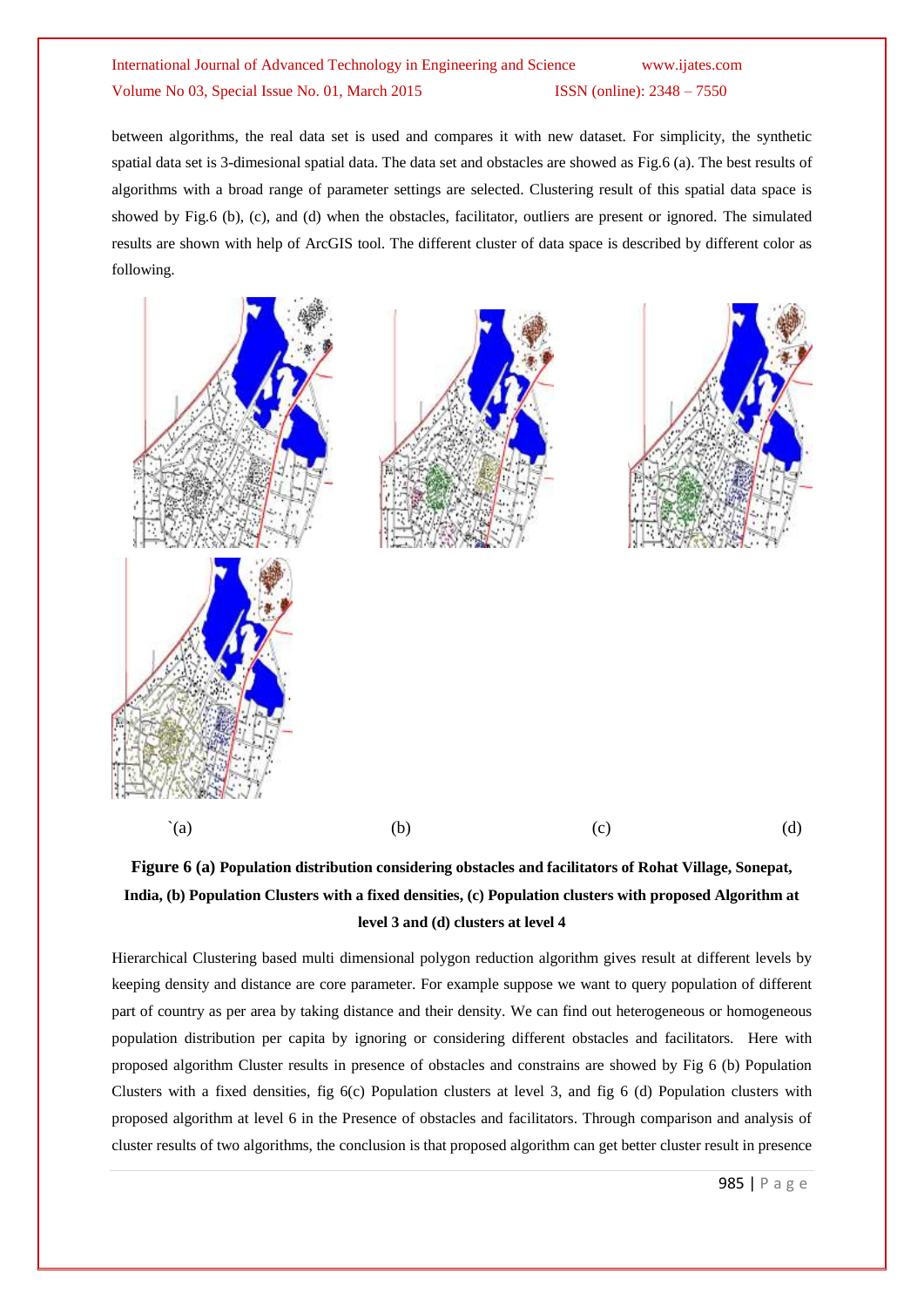between algorithms, the real data set is used and compares it with new dataset. For simplicity, the synthetic spatial data set is 3-dimesional spatial data. The data set and obstacles are showed as Fig.6 (a). The best results of algorithms with a broad range of parameter settings are selected. Clustering result of this spatial data space is showed by Fig.6 (b), (c), and (d) when the obstacles, facilitator, outliers are present or ignored. The simulated results are shown with help of ArcGIS tool. The different cluster of data space is described by different color as following.



# **Figure 6 (a) Population distribution considering obstacles and facilitators of Rohat Village, Sonepat, India, (b) Population Clusters with a fixed densities, (c) Population clusters with proposed Algorithm at level 3 and (d) clusters at level 4**

Hierarchical Clustering based multi dimensional polygon reduction algorithm gives result at different levels by keeping density and distance are core parameter. For example suppose we want to query population of different part of country as per area by taking distance and their density. We can find out heterogeneous or homogeneous population distribution per capita by ignoring or considering different obstacles and facilitators. Here with proposed algorithm Cluster results in presence of obstacles and constrains are showed by Fig 6 (b) Population Clusters with a fixed densities, fig 6(c) Population clusters at level 3, and fig 6 (d) Population clusters with proposed algorithm at level 6 in the Presence of obstacles and facilitators. Through comparison and analysis of cluster results of two algorithms, the conclusion is that proposed algorithm can get better cluster result in presence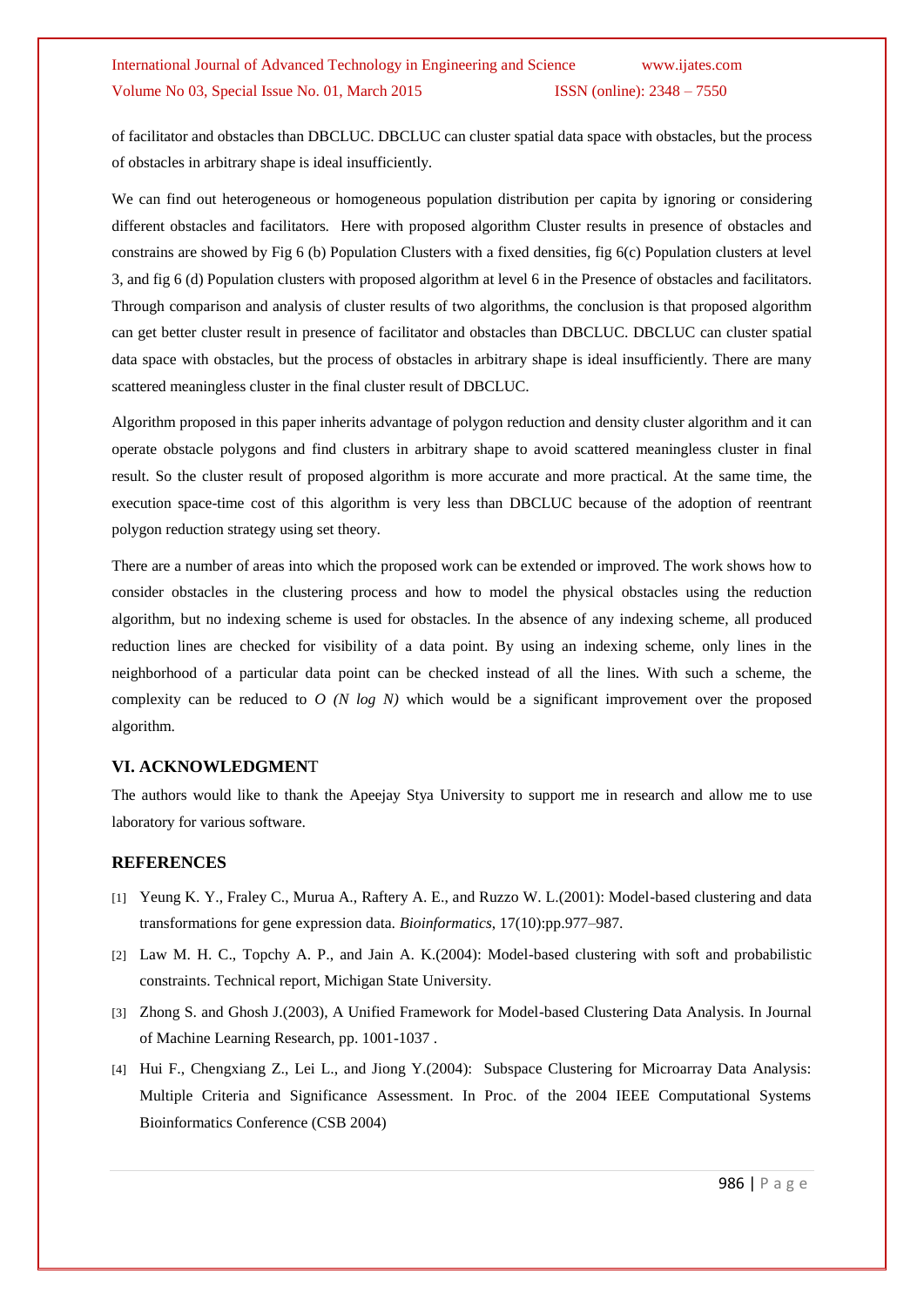of facilitator and obstacles than DBCLUC. DBCLUC can cluster spatial data space with obstacles, but the process of obstacles in arbitrary shape is ideal insufficiently.

We can find out heterogeneous or homogeneous population distribution per capita by ignoring or considering different obstacles and facilitators. Here with proposed algorithm Cluster results in presence of obstacles and constrains are showed by Fig 6 (b) Population Clusters with a fixed densities, fig 6(c) Population clusters at level 3, and fig 6 (d) Population clusters with proposed algorithm at level 6 in the Presence of obstacles and facilitators. Through comparison and analysis of cluster results of two algorithms, the conclusion is that proposed algorithm can get better cluster result in presence of facilitator and obstacles than DBCLUC. DBCLUC can cluster spatial data space with obstacles, but the process of obstacles in arbitrary shape is ideal insufficiently. There are many scattered meaningless cluster in the final cluster result of DBCLUC.

Algorithm proposed in this paper inherits advantage of polygon reduction and density cluster algorithm and it can operate obstacle polygons and find clusters in arbitrary shape to avoid scattered meaningless cluster in final result. So the cluster result of proposed algorithm is more accurate and more practical. At the same time, the execution space-time cost of this algorithm is very less than DBCLUC because of the adoption of reentrant polygon reduction strategy using set theory.

There are a number of areas into which the proposed work can be extended or improved. The work shows how to consider obstacles in the clustering process and how to model the physical obstacles using the reduction algorithm, but no indexing scheme is used for obstacles. In the absence of any indexing scheme, all produced reduction lines are checked for visibility of a data point. By using an indexing scheme, only lines in the neighborhood of a particular data point can be checked instead of all the lines. With such a scheme, the complexity can be reduced to *O (N log N)* which would be a significant improvement over the proposed algorithm.

## **VI. ACKNOWLEDGMEN**T

The authors would like to thank the Apeejay Stya University to support me in research and allow me to use laboratory for various software.

#### **REFERENCES**

- [1] Yeung K. Y., Fraley C., Murua A., Raftery A. E., and Ruzzo W. L.(2001): Model-based clustering and data transformations for gene expression data. *Bioinformatics*, 17(10):pp.977–987.
- [2] Law M. H. C., Topchy A. P., and Jain A. K.(2004): Model-based clustering with soft and probabilistic constraints. Technical report, Michigan State University.
- [3] Zhong S. and Ghosh J.(2003), A Unified Framework for Model-based Clustering Data Analysis. In Journal of Machine Learning Research, pp. 1001-1037 .
- [4] Hui F., Chengxiang Z., Lei L., and Jiong Y.(2004): Subspace Clustering for Microarray Data Analysis: Multiple Criteria and Significance Assessment. In Proc. of the 2004 IEEE Computational Systems Bioinformatics Conference (CSB 2004)